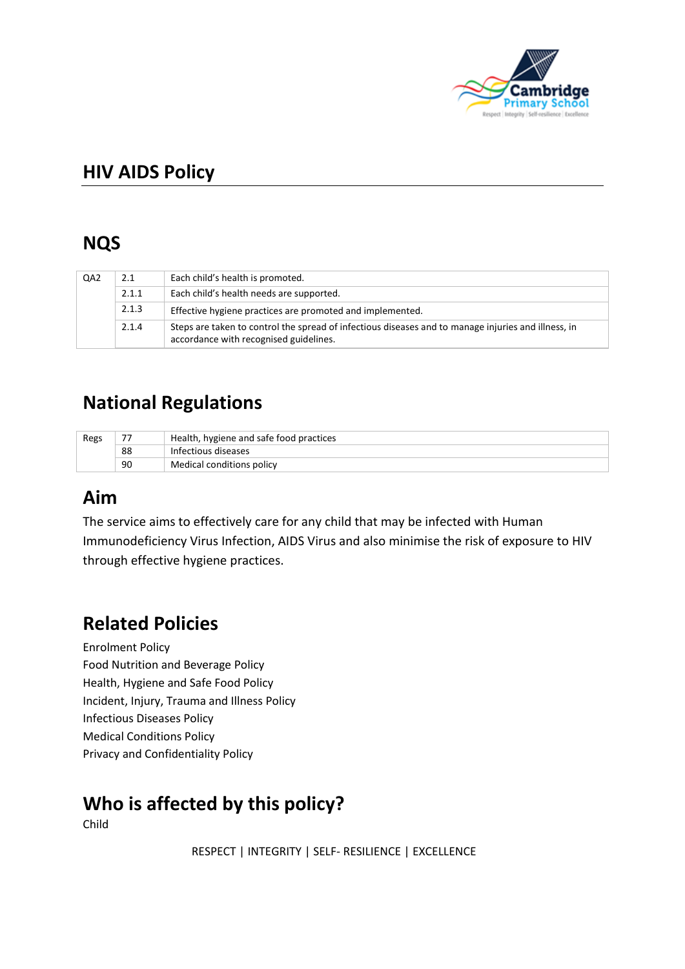

# **HIV AIDS Policy**

# **NQS**

| QA <sub>2</sub> | 2.1   | Each child's health is promoted.                                                                                                              |
|-----------------|-------|-----------------------------------------------------------------------------------------------------------------------------------------------|
|                 | 2.1.1 | Each child's health needs are supported.                                                                                                      |
|                 | 2.1.3 | Effective hygiene practices are promoted and implemented.                                                                                     |
|                 | 2.1.4 | Steps are taken to control the spread of infectious diseases and to manage injuries and illness, in<br>accordance with recognised guidelines. |

# **National Regulations**

| Regs | -- | Health, hygiene and safe food practices |  |
|------|----|-----------------------------------------|--|
|      | 88 | Infectious diseases                     |  |
|      | 90 | Medical conditions policy               |  |

# **Aim**

The service aims to effectively care for any child that may be infected with Human Immunodeficiency Virus Infection, AIDS Virus and also minimise the risk of exposure to HIV through effective hygiene practices.

# **Related Policies**

Enrolment Policy Food Nutrition and Beverage Policy Health, Hygiene and Safe Food Policy Incident, Injury, Trauma and Illness Policy Infectious Diseases Policy Medical Conditions Policy Privacy and Confidentiality Policy

# **Who is affected by this policy?**

Child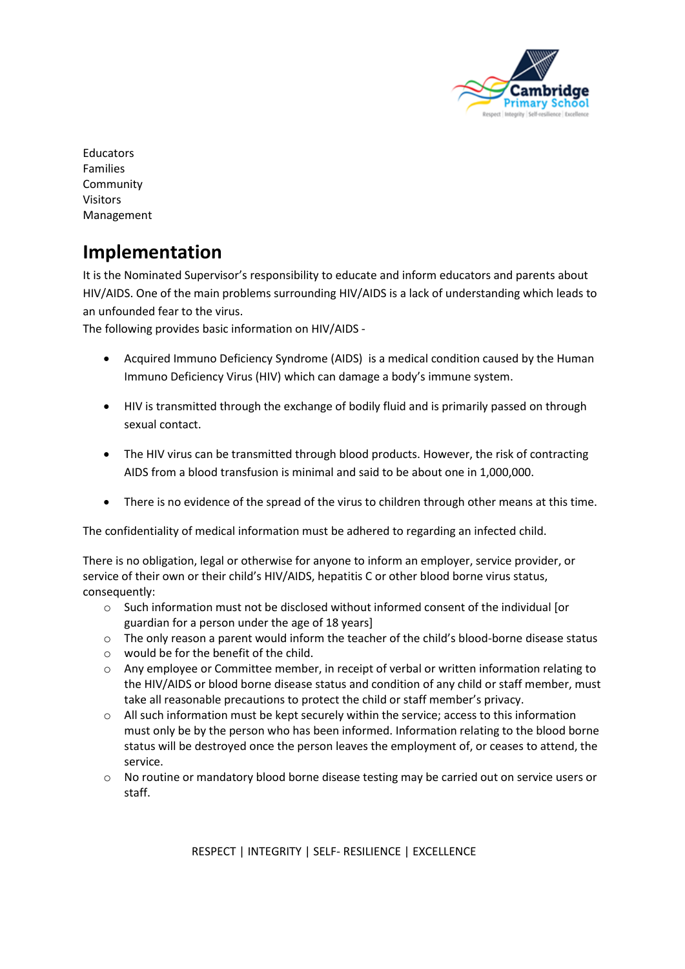

**Educators** Families Community Visitors Management

# **Implementation**

It is the Nominated Supervisor's responsibility to educate and inform educators and parents about HIV/AIDS. One of the main problems surrounding HIV/AIDS is a lack of understanding which leads to an unfounded fear to the virus.

The following provides basic information on HIV/AIDS -

- Acquired Immuno Deficiency Syndrome (AIDS) is a medical condition caused by the Human Immuno Deficiency Virus (HIV) which can damage a body's immune system.
- HIV is transmitted through the exchange of bodily fluid and is primarily passed on through sexual contact.
- The HIV virus can be transmitted through blood products. However, the risk of contracting AIDS from a blood transfusion is minimal and said to be about one in 1,000,000.
- There is no evidence of the spread of the virus to children through other means at this time.

The confidentiality of medical information must be adhered to regarding an infected child.

There is no obligation, legal or otherwise for anyone to inform an employer, service provider, or service of their own or their child's HIV/AIDS, hepatitis C or other blood borne virus status, consequently:

- o Such information must not be disclosed without informed consent of the individual [or guardian for a person under the age of 18 years]
- $\circ$  The only reason a parent would inform the teacher of the child's blood-borne disease status
- o would be for the benefit of the child.
- o Any employee or Committee member, in receipt of verbal or written information relating to the HIV/AIDS or blood borne disease status and condition of any child or staff member, must take all reasonable precautions to protect the child or staff member's privacy.
- $\circ$  All such information must be kept securely within the service; access to this information must only be by the person who has been informed. Information relating to the blood borne status will be destroyed once the person leaves the employment of, or ceases to attend, the service.
- o No routine or mandatory blood borne disease testing may be carried out on service users or staff.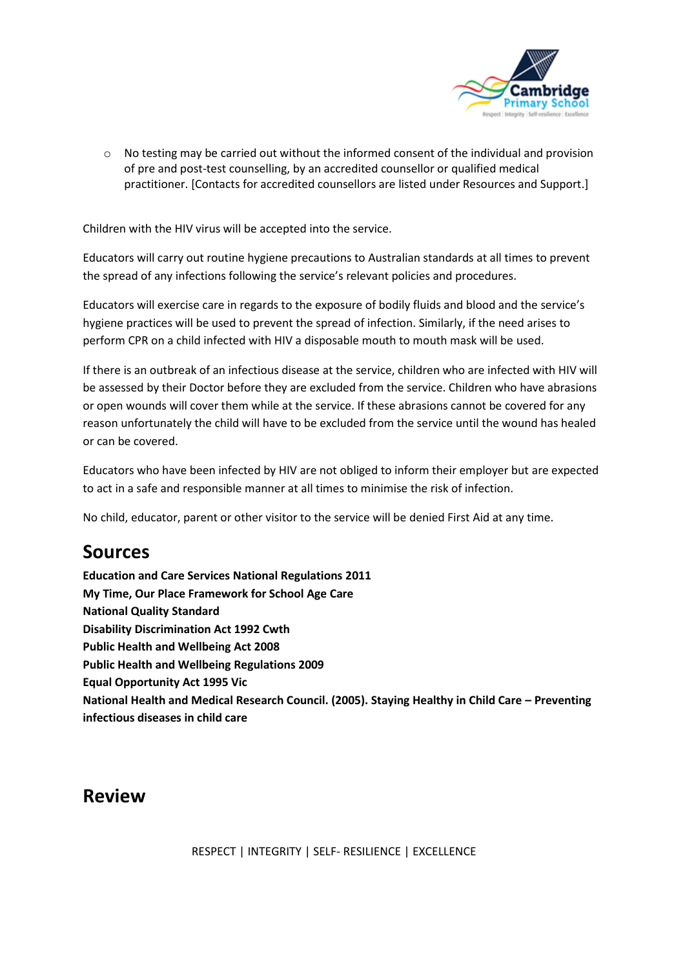

 $\circ$  No testing may be carried out without the informed consent of the individual and provision of pre and post-test counselling, by an accredited counsellor or qualified medical practitioner. [Contacts for accredited counsellors are listed under Resources and Support.]

Children with the HIV virus will be accepted into the service.

Educators will carry out routine hygiene precautions to Australian standards at all times to prevent the spread of any infections following the service's relevant policies and procedures.

Educators will exercise care in regards to the exposure of bodily fluids and blood and the service's hygiene practices will be used to prevent the spread of infection. Similarly, if the need arises to perform CPR on a child infected with HIV a disposable mouth to mouth mask will be used.

If there is an outbreak of an infectious disease at the service, children who are infected with HIV will be assessed by their Doctor before they are excluded from the service. Children who have abrasions or open wounds will cover them while at the service. If these abrasions cannot be covered for any reason unfortunately the child will have to be excluded from the service until the wound has healed or can be covered.

Educators who have been infected by HIV are not obliged to inform their employer but are expected to act in a safe and responsible manner at all times to minimise the risk of infection.

No child, educator, parent or other visitor to the service will be denied First Aid at any time.

# **Sources**

**Education and Care Services National Regulations 2011 My Time, Our Place Framework for School Age Care National Quality Standard Disability Discrimination Act 1992 Cwth Public Health and Wellbeing Act 2008 Public Health and Wellbeing Regulations 2009 Equal Opportunity Act 1995 Vic National Health and Medical Research Council. (2005). Staying Healthy in Child Care – Preventing infectious diseases in child care**

# **Review**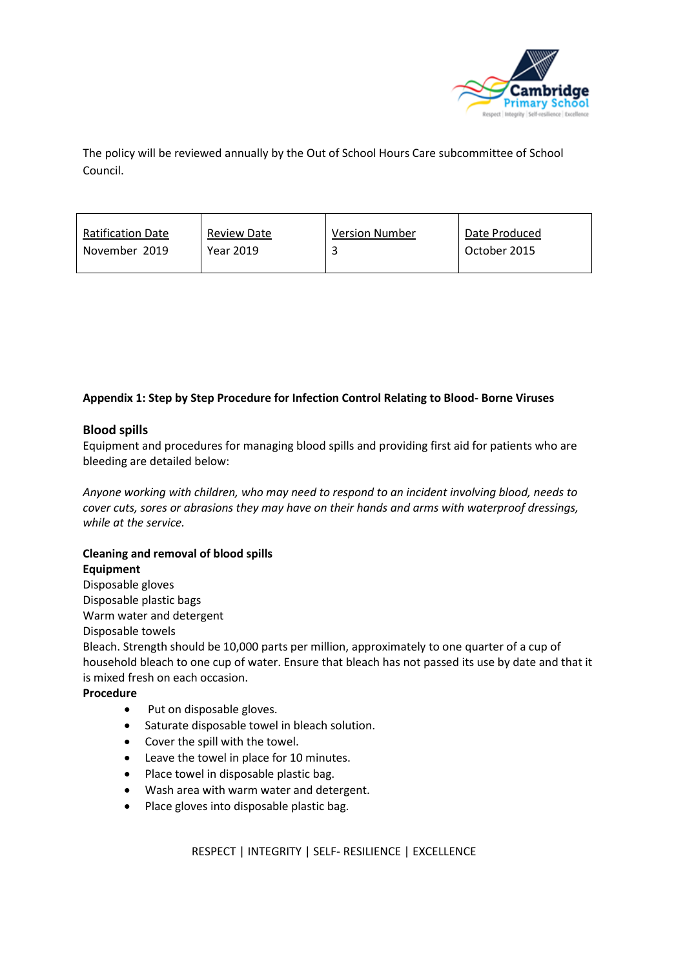

The policy will be reviewed annually by the Out of School Hours Care subcommittee of School Council.

| <b>Ratification Date</b> | <b>Review Date</b> | <b>Version Number</b> | Date Produced |
|--------------------------|--------------------|-----------------------|---------------|
| November 2019            | Year 2019          |                       | October 2015  |

### **Appendix 1: Step by Step Procedure for Infection Control Relating to Blood- Borne Viruses**

#### **Blood spills**

Equipment and procedures for managing blood spills and providing first aid for patients who are bleeding are detailed below:

*Anyone working with children, who may need to respond to an incident involving blood, needs to cover cuts, sores or abrasions they may have on their hands and arms with waterproof dressings, while at the service.*

## **Cleaning and removal of blood spills**

#### **Equipment**

Disposable gloves Disposable plastic bags Warm water and detergent Disposable towels

Bleach. Strength should be 10,000 parts per million, approximately to one quarter of a cup of household bleach to one cup of water. Ensure that bleach has not passed its use by date and that it is mixed fresh on each occasion.

#### **Procedure**

- Put on disposable gloves.
- Saturate disposable towel in bleach solution.
- Cover the spill with the towel.
- Leave the towel in place for 10 minutes.
- Place towel in disposable plastic bag.
- Wash area with warm water and detergent.
- Place gloves into disposable plastic bag.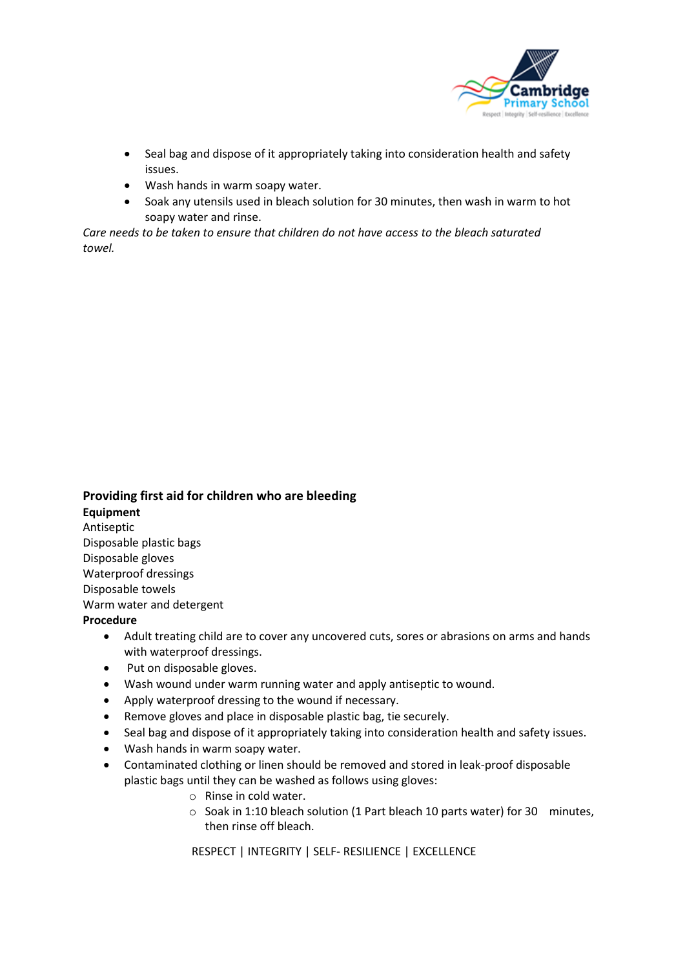

- Seal bag and dispose of it appropriately taking into consideration health and safety issues.
- Wash hands in warm soapy water.
- Soak any utensils used in bleach solution for 30 minutes, then wash in warm to hot soapy water and rinse.

*Care needs to be taken to ensure that children do not have access to the bleach saturated towel.*

## **Providing first aid for children who are bleeding Equipment** Antiseptic Disposable plastic bags Disposable gloves Waterproof dressings Disposable towels Warm water and detergent **Procedure**

- Adult treating child are to cover any uncovered cuts, sores or abrasions on arms and hands with waterproof dressings.
- Put on disposable gloves.
- Wash wound under warm running water and apply antiseptic to wound.
- Apply waterproof dressing to the wound if necessary.
- Remove gloves and place in disposable plastic bag, tie securely.
- Seal bag and dispose of it appropriately taking into consideration health and safety issues.
- Wash hands in warm soapy water.
- Contaminated clothing or linen should be removed and stored in leak-proof disposable plastic bags until they can be washed as follows using gloves:
	- o Rinse in cold water.
	- o Soak in 1:10 bleach solution (1 Part bleach 10 parts water) for 30 minutes, then rinse off bleach.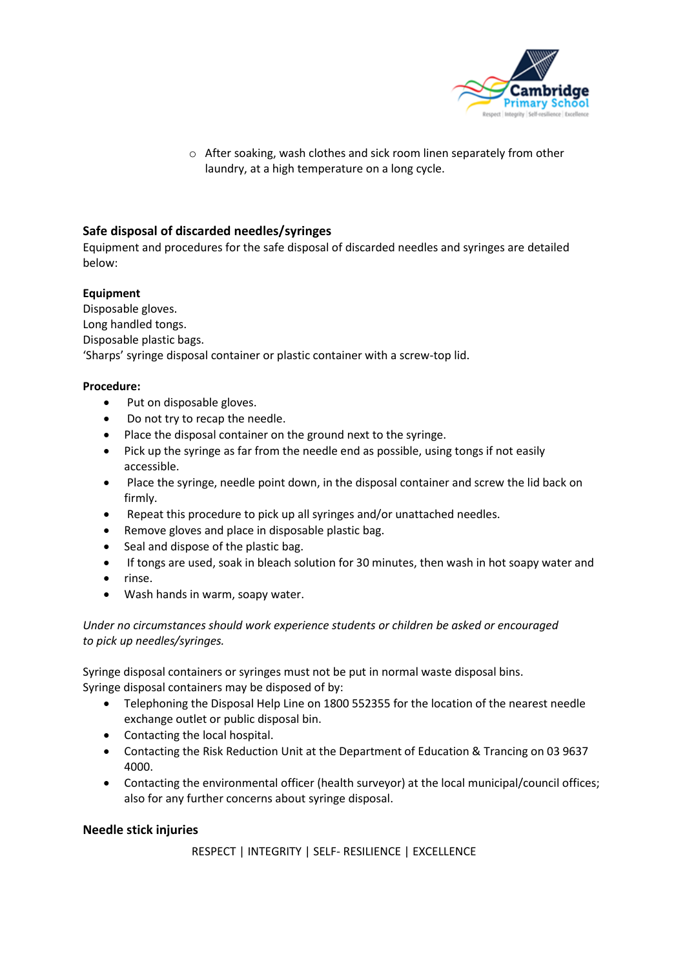

o After soaking, wash clothes and sick room linen separately from other laundry, at a high temperature on a long cycle.

### **Safe disposal of discarded needles/syringes**

Equipment and procedures for the safe disposal of discarded needles and syringes are detailed below:

### **Equipment**

Disposable gloves. Long handled tongs. Disposable plastic bags. 'Sharps' syringe disposal container or plastic container with a screw-top lid.

#### **Procedure:**

- Put on disposable gloves.
- Do not try to recap the needle.
- Place the disposal container on the ground next to the syringe.
- Pick up the syringe as far from the needle end as possible, using tongs if not easily accessible.
- Place the syringe, needle point down, in the disposal container and screw the lid back on firmly.
- Repeat this procedure to pick up all syringes and/or unattached needles.
- Remove gloves and place in disposable plastic bag.
- Seal and dispose of the plastic bag.
- If tongs are used, soak in bleach solution for 30 minutes, then wash in hot soapy water and
- rinse.
- Wash hands in warm, soapy water.

#### *Under no circumstances should work experience students or children be asked or encouraged to pick up needles/syringes.*

Syringe disposal containers or syringes must not be put in normal waste disposal bins. Syringe disposal containers may be disposed of by:

- Telephoning the Disposal Help Line on 1800 552355 for the location of the nearest needle exchange outlet or public disposal bin.
- Contacting the local hospital.
- Contacting the Risk Reduction Unit at the Department of Education & Trancing on 03 9637 4000.
- Contacting the environmental officer (health surveyor) at the local municipal/council offices; also for any further concerns about syringe disposal.

### **Needle stick injuries**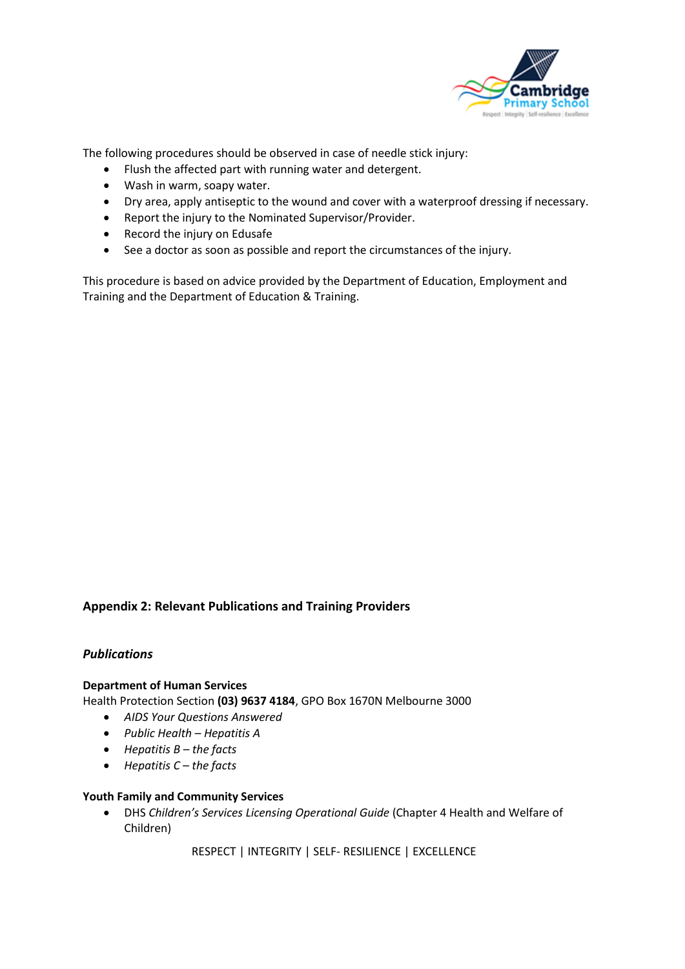

The following procedures should be observed in case of needle stick injury:

- Flush the affected part with running water and detergent.
- Wash in warm, soapy water.
- Dry area, apply antiseptic to the wound and cover with a waterproof dressing if necessary.
- Report the injury to the Nominated Supervisor/Provider.
- Record the injury on Edusafe
- See a doctor as soon as possible and report the circumstances of the injury.

This procedure is based on advice provided by the Department of Education, Employment and Training and the Department of Education & Training.

### **Appendix 2: Relevant Publications and Training Providers**

#### *Publications*

#### **Department of Human Services**

Health Protection Section **(03) 9637 4184**, GPO Box 1670N Melbourne 3000

- *AIDS Your Questions Answered*
- *Public Health – Hepatitis A*
- *Hepatitis B – the facts*
- *Hepatitis C – the facts*

#### **Youth Family and Community Services**

• DHS *Children's Services Licensing Operational Guide* (Chapter 4 Health and Welfare of Children)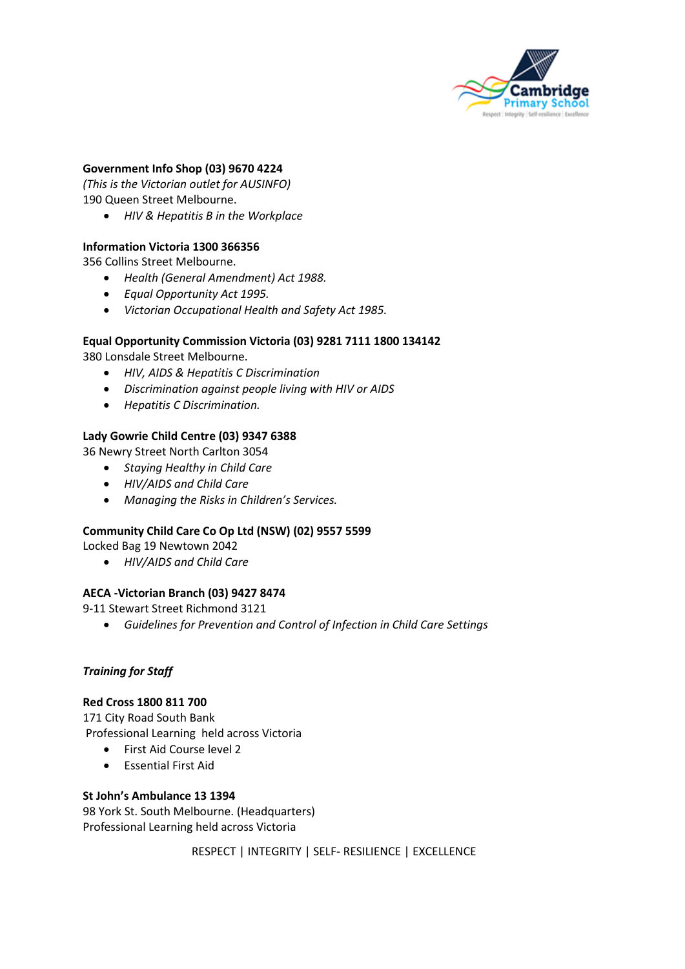

### **Government Info Shop (03) 9670 4224**

*(This is the Victorian outlet for AUSINFO)* 190 Queen Street Melbourne.

• *HIV & Hepatitis B in the Workplace*

#### **Information Victoria 1300 366356**

356 Collins Street Melbourne.

- *Health (General Amendment) Act 1988.*
- *Equal Opportunity Act 1995.*
- *Victorian Occupational Health and Safety Act 1985.*

#### **Equal Opportunity Commission Victoria (03) 9281 7111 1800 134142**

380 Lonsdale Street Melbourne.

- *HIV, AIDS & Hepatitis C Discrimination*
- *Discrimination against people living with HIV or AIDS*
- *Hepatitis C Discrimination.*

#### **Lady Gowrie Child Centre (03) 9347 6388**

36 Newry Street North Carlton 3054

- *Staying Healthy in Child Care*
- *HIV/AIDS and Child Care*
- *Managing the Risks in Children's Services.*

#### **Community Child Care Co Op Ltd (NSW) (02) 9557 5599**

Locked Bag 19 Newtown 2042

• *HIV/AIDS and Child Care*

#### **AECA -Victorian Branch (03) 9427 8474**

9-11 Stewart Street Richmond 3121

• *Guidelines for Prevention and Control of Infection in Child Care Settings*

#### *Training for Staff*

#### **Red Cross 1800 811 700**

171 City Road South Bank Professional Learning held across Victoria

- First Aid Course level 2
- Essential First Aid

#### **St John's Ambulance 13 1394**

98 York St. South Melbourne. (Headquarters) Professional Learning held across Victoria